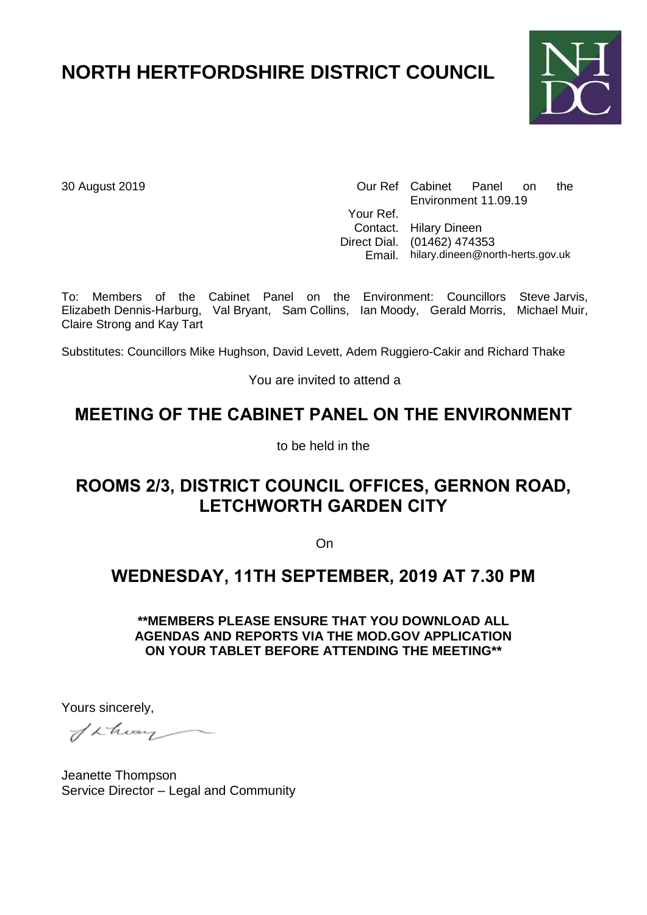# **NORTH HERTFORDSHIRE DISTRICT COUNCIL**



30 August 2019 Our Ref Cabinet Panel on the Environment 11.09.19 Your Ref. Contact. Hilary Dineen Direct Dial. (01462) 474353 Email. hilary.dineen@north-herts.gov.uk

To: Members of the Cabinet Panel on the Environment: Councillors Steve Jarvis, Elizabeth Dennis-Harburg, Val Bryant, Sam Collins, Ian Moody, Gerald Morris, Michael Muir, Claire Strong and Kay Tart

Substitutes: Councillors Mike Hughson, David Levett, Adem Ruggiero-Cakir and Richard Thake

You are invited to attend a

# **MEETING OF THE CABINET PANEL ON THE ENVIRONMENT**

to be held in the

# **ROOMS 2/3, DISTRICT COUNCIL OFFICES, GERNON ROAD, LETCHWORTH GARDEN CITY**

On

### **WEDNESDAY, 11TH SEPTEMBER, 2019 AT 7.30 PM**

**\*\*MEMBERS PLEASE ENSURE THAT YOU DOWNLOAD ALL AGENDAS AND REPORTS VIA THE MOD.GOV APPLICATION ON YOUR TABLET BEFORE ATTENDING THE MEETING\*\***

Yours sincerely,

Schon

Jeanette Thompson Service Director – Legal and Community